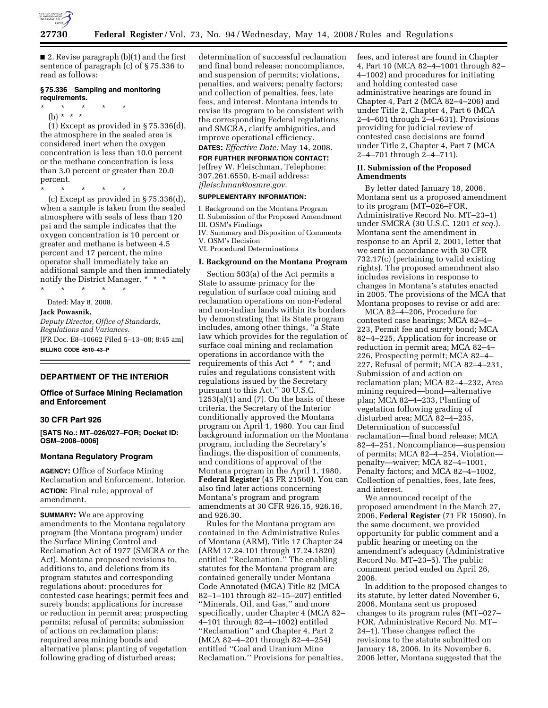

■ 2. Revise paragraph (b)(1) and the first sentence of paragraph (c) of § 75.336 to read as follows:

## **§ 75.336 Sampling and monitoring requirements.**

- \* \* \* \* \*
	- (b) \* \* \*

(1) Except as provided in § 75.336(d), the atmosphere in the sealed area is considered inert when the oxygen concentration is less than 10.0 percent or the methane concentration is less than 3.0 percent or greater than 20.0 percent.

\* \* \* \* \*

(c) Except as provided in § 75.336(d), when a sample is taken from the sealed atmosphere with seals of less than 120 psi and the sample indicates that the oxygen concentration is 10 percent or greater and methane is between 4.5 percent and 17 percent, the mine operator shall immediately take an additional sample and then immediately notify the District Manager. \* \* \*

\* \* \* \* \* Dated: May 8, 2008.

#### **Jack Powasnik,**

*Deputy Director, Office of Standards, Regulations and Variances.*  [FR Doc. E8–10662 Filed 5–13–08; 8:45 am] **BILLING CODE 4510–43–P** 

#### **DEPARTMENT OF THE INTERIOR**

## **Office of Surface Mining Reclamation and Enforcement**

## **30 CFR Part 926**

**[SATS No.: MT–026/027–FOR; Docket ID: OSM–2008–0006]** 

#### **Montana Regulatory Program**

**AGENCY:** Office of Surface Mining Reclamation and Enforcement, Interior. **ACTION:** Final rule; approval of amendment.

**SUMMARY:** We are approving amendments to the Montana regulatory program (the Montana program) under the Surface Mining Control and Reclamation Act of 1977 (SMCRA or the Act). Montana proposed revisions to, additions to, and deletions from its program statutes and corresponding regulations about: procedures for contested case hearings; permit fees and surety bonds; applications for increase or reduction in permit area; prospecting permits; refusal of permits; submission of actions on reclamation plans; required area mining bonds and alternative plans; planting of vegetation following grading of disturbed areas;

determination of successful reclamation and final bond release; noncompliance, and suspension of permits; violations, penalties, and waivers; penalty factors; and collection of penalties, fees, late fees, and interest. Montana intends to revise its program to be consistent with the corresponding Federal regulations and SMCRA, clarify ambiguities, and improve operational efficiency.

## **DATES:** *Effective Date:* May 14, 2008.

**FOR FURTHER INFORMATION CONTACT:**  Jeffrey W. Fleischman, Telephone: 307.261.6550, E-mail address: *jfleischman@osmre.gov*.

## **SUPPLEMENTARY INFORMATION:**

I. Background on the Montana Program II. Submission of the Proposed Amendment III. OSM's Findings IV. Summary and Disposition of Comments V. OSM's Decision VI. Procedural Determinations **I. Background on the Montana Program** 

Section 503(a) of the Act permits a State to assume primacy for the regulation of surface coal mining and reclamation operations on non-Federal and non-Indian lands within its borders by demonstrating that its State program includes, among other things, ''a State law which provides for the regulation of surface coal mining and reclamation operations in accordance with the requirements of this Act \* \* \*; and rules and regulations consistent with regulations issued by the Secretary pursuant to this Act.'' 30 U.S.C.  $1253(a)(1)$  and  $(7)$ . On the basis of these criteria, the Secretary of the Interior conditionally approved the Montana program on April 1, 1980. You can find background information on the Montana program, including the Secretary's findings, the disposition of comments, and conditions of approval of the Montana program in the April 1, 1980, **Federal Register** (45 FR 21560). You can also find later actions concerning Montana's program and program amendments at 30 CFR 926.15, 926.16, and 926.30.

Rules for the Montana program are contained in the Administrative Rules of Montana (ARM), Title 17 Chapter 24 (ARM 17.24.101 through 17.24.1820) entitled "Reclamation." The enabling statutes for the Montana program are contained generally under Montana Code Annotated (MCA) Title 82 (MCA 82–1–101 through 82–15–207) entitled ''Minerals, Oil, and Gas,'' and more specifically, under Chapter 4 (MCA 82– 4–101 through 82–4–1002) entitled ''Reclamation'' and Chapter 4, Part 2 (MCA 82–4–201 through 82–4–254) entitled ''Coal and Uranium Mine Reclamation.'' Provisions for penalties,

fees, and interest are found in Chapter 4, Part 10 (MCA 82–4–1001 through 82– 4–1002) and procedures for initiating and holding contested case administrative hearings are found in Chapter 4, Part 2 (MCA 82–4–206) and under Title 2, Chapter 4, Part 6 (MCA 2–4–601 through 2–4–631). Provisions providing for judicial review of contested case decisions are found under Title 2, Chapter 4, Part 7 (MCA 2–4–701 through 2–4–711).

## **II. Submission of the Proposed Amendments**

By letter dated January 18, 2006, Montana sent us a proposed amendment to its program (MT–026–FOR, Administrative Record No. MT–23–1) under SMCRA (30 U.S.C. 1201 *et seq.*). Montana sent the amendment in response to an April 2, 2001, letter that we sent in accordance with 30 CFR 732.17(c) (pertaining to valid existing rights). The proposed amendment also includes revisions in response to changes in Montana's statutes enacted in 2005. The provisions of the MCA that Montana proposes to revise or add are:

MCA 82–4–206, Procedure for contested case hearings; MCA 82–4– 223, Permit fee and surety bond; MCA 82–4–225, Application for increase or reduction in permit area; MCA 82–4– 226, Prospecting permit; MCA 82–4– 227, Refusal of permit; MCA 82–4–231, Submission of and action on reclamation plan; MCA 82–4–232, Area mining required—bond—alternative plan; MCA 82–4–233, Planting of vegetation following grading of disturbed area; MCA 82–4–235, Determination of successful reclamation—final bond release; MCA 82–4–251, Noncompliance—suspension of permits; MCA 82–4–254, Violation penalty—waiver; MCA 82–4–1001, Penalty factors; and MCA 82–4–1002, Collection of penalties, fees, late fees, and interest.

We announced receipt of the proposed amendment in the March 27, 2006, **Federal Register** (71 FR 15090). In the same document, we provided opportunity for public comment and a public hearing or meeting on the amendment's adequacy (Administrative Record No. MT–23–5). The public comment period ended on April 26, 2006.

In addition to the proposed changes to its statute, by letter dated November 6, 2006, Montana sent us proposed changes to its program rules (MT–027– FOR, Administrative Record No. MT– 24–1). These changes reflect the revisions to the statute submitted on January 18, 2006. In its November 6, 2006 letter, Montana suggested that the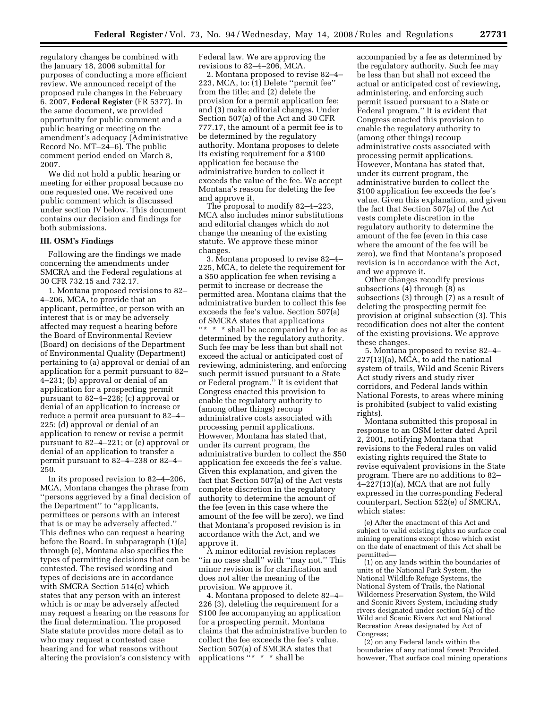regulatory changes be combined with the January 18, 2006 submittal for purposes of conducting a more efficient review. We announced receipt of the proposed rule changes in the February 6, 2007, **Federal Register** (FR 5377). In the same document, we provided opportunity for public comment and a public hearing or meeting on the amendment's adequacy (Administrative Record No. MT-24-6). The public comment period ended on March 8, 2007.

We did not hold a public hearing or meeting for either proposal because no one requested one. We received one public comment which is discussed under section IV below. This document contains our decision and findings for both submissions.

### **III. OSM's Findings**

Following are the findings we made concerning the amendments under SMCRA and the Federal regulations at 30 CFR 732.15 and 732.17.

1. Montana proposed revisions to 82– 4–206, MCA, to provide that an applicant, permittee, or person with an interest that is or may be adversely affected may request a hearing before the Board of Environmental Review (Board) on decisions of the Department of Environmental Quality (Department) pertaining to (a) approval or denial of an application for a permit pursuant to 82– 4–231; (b) approval or denial of an application for a prospecting permit pursuant to 82–4–226; (c) approval or denial of an application to increase or reduce a permit area pursuant to 82–4– 225; (d) approval or denial of an application to renew or revise a permit pursuant to 82–4–221; or (e) approval or denial of an application to transfer a permit pursuant to 82–4–238 or 82–4– 250.

In its proposed revision to 82–4–206, MCA, Montana changes the phrase from ''persons aggrieved by a final decision of the Department'' to ''applicants, permittees or persons with an interest that is or may be adversely affected.'' This defines who can request a hearing before the Board. In subparagraph (1)(a) through (e), Montana also specifies the types of permitting decisions that can be contested. The revised wording and types of decisions are in accordance with SMCRA Section 514(c) which states that any person with an interest which is or may be adversely affected may request a hearing on the reasons for the final determination. The proposed State statute provides more detail as to who may request a contested case hearing and for what reasons without altering the provision's consistency with

Federal law. We are approving the revisions to 82–4–206, MCA.

2. Montana proposed to revise 82–4– 223, MCA, to: (1) Delete ''permit fee'' from the title; and (2) delete the provision for a permit application fee; and (3) make editorial changes. Under Section 507(a) of the Act and 30 CFR 777.17, the amount of a permit fee is to be determined by the regulatory authority. Montana proposes to delete its existing requirement for a \$100 application fee because the administrative burden to collect it exceeds the value of the fee. We accept Montana's reason for deleting the fee and approve it.

The proposal to modify 82–4–223, MCA also includes minor substitutions and editorial changes which do not change the meaning of the existing statute. We approve these minor changes.

3. Montana proposed to revise 82–4– 225, MCA, to delete the requirement for a \$50 application fee when revising a permit to increase or decrease the permitted area. Montana claims that the administrative burden to collect this fee exceeds the fee's value. Section 507(a) of SMCRA states that applications ''\* \* \* shall be accompanied by a fee as determined by the regulatory authority. Such fee may be less than but shall not exceed the actual or anticipated cost of reviewing, administering, and enforcing such permit issued pursuant to a State or Federal program.'' It is evident that Congress enacted this provision to enable the regulatory authority to (among other things) recoup administrative costs associated with processing permit applications. However, Montana has stated that, under its current program, the administrative burden to collect the \$50 application fee exceeds the fee's value. Given this explanation, and given the fact that Section 507(a) of the Act vests complete discretion in the regulatory authority to determine the amount of the fee (even in this case where the amount of the fee will be zero), we find that Montana's proposed revision is in accordance with the Act, and we approve it.

A minor editorial revision replaces "in no case shall" with "may not." This minor revision is for clarification and does not alter the meaning of the provision. We approve it.

4. Montana proposed to delete 82–4– 226 (3), deleting the requirement for a \$100 fee accompanying an application for a prospecting permit. Montana claims that the administrative burden to collect the fee exceeds the fee's value. Section 507(a) of SMCRA states that applications ''\* \* \* shall be

accompanied by a fee as determined by the regulatory authority. Such fee may be less than but shall not exceed the actual or anticipated cost of reviewing, administering, and enforcing such permit issued pursuant to a State or Federal program.'' It is evident that Congress enacted this provision to enable the regulatory authority to (among other things) recoup administrative costs associated with processing permit applications. However, Montana has stated that, under its current program, the administrative burden to collect the \$100 application fee exceeds the fee's value. Given this explanation, and given the fact that Section 507(a) of the Act vests complete discretion in the regulatory authority to determine the amount of the fee (even in this case where the amount of the fee will be zero), we find that Montana's proposed revision is in accordance with the Act, and we approve it.

Other changes recodify previous subsections (4) through (8) as subsections (3) through (7) as a result of deleting the prospecting permit fee provision at original subsection (3). This recodification does not alter the content of the existing provisions. We approve these changes.

5. Montana proposed to revise 82–4– 227(13)(a), MCA, to add the national system of trails, Wild and Scenic Rivers Act study rivers and study river corridors, and Federal lands within National Forests, to areas where mining is prohibited (subject to valid existing rights).

Montana submitted this proposal in response to an OSM letter dated April 2, 2001, notifying Montana that revisions to the Federal rules on valid existing rights required the State to revise equivalent provisions in the State program. There are no additions to 82–  $4-227(13)(a)$ , MCA that are not fully expressed in the corresponding Federal counterpart, Section 522(e) of SMCRA, which states:

(e) After the enactment of this Act and subject to valid existing rights no surface coal mining operations except those which exist on the date of enactment of this Act shall be permitted—

(1) on any lands within the boundaries of units of the National Park System, the National Wildlife Refuge Systems, the National System of Trails, the National Wilderness Preservation System, the Wild and Scenic Rivers System, including study rivers designated under section 5(a) of the Wild and Scenic Rivers Act and National Recreation Areas designated by Act of Congress;

(2) on any Federal lands within the boundaries of any national forest: Provided, however, That surface coal mining operations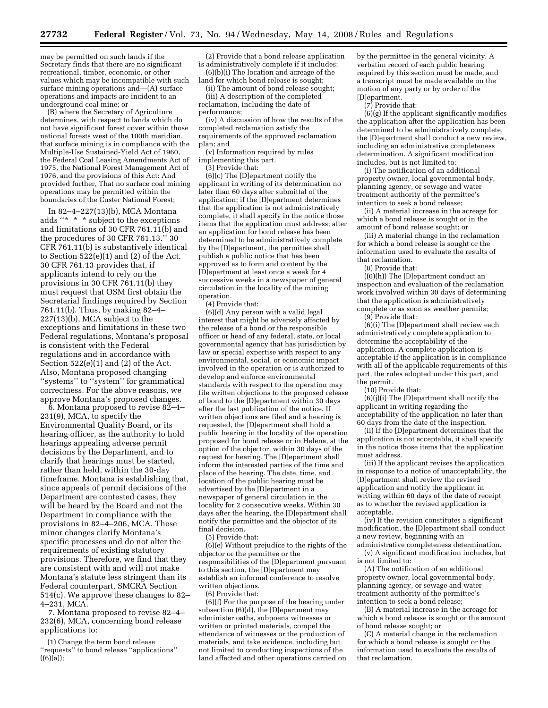may be permitted on such lands if the Secretary finds that there are no significant recreational, timber, economic, or other values which may be incompatible with such surface mining operations and—(A) surface operations and impacts are incident to an underground coal mine; or

(B) where the Secretary of Agriculture determines, with respect to lands which do not have significant forest cover within those national forests west of the 100th meridian, that surface mining is in compliance with the Multiple-Use Sustained-Yield Act of 1960, the Federal Coal Leasing Amendments Act of 1975, the National Forest Management Act of 1976, and the provisions of this Act: And provided further, That no surface coal mining operations may be permitted within the boundaries of the Custer National Forest;

In 82–4–227(13)(b), MCA Montana adds ''\* \* \* subject to the exceptions and limitations of 30 CFR 761.11(b) and the procedures of 30 CFR 761.13.'' 30 CFR 761.11(b) is substantively identical to Section  $522(e)(1)$  and  $(2)$  of the Act. 30 CFR 761.13 provides that, if applicants intend to rely on the provisions in 30 CFR 761.11(b) they must request that OSM first obtain the Secretarial findings required by Section 761.11(b). Thus, by making 82–4– 227(13)(b), MCA subject to the exceptions and limitations in these two Federal regulations, Montana's proposal is consistent with the Federal regulations and in accordance with Section  $522(e)(1)$  and  $(2)$  of the Act. Also, Montana proposed changing ''systems'' to ''system'' for grammatical correctness. For the above reasons, we approve Montana's proposed changes.

6. Montana proposed to revise 82–4– 231(9), MCA, to specify the Environmental Quality Board, or its hearing officer, as the authority to hold hearings appealing adverse permit decisions by the Department, and to clarify that hearings must be started, rather than held, within the 30-day timeframe. Montana is establishing that, since appeals of permit decisions of the Department are contested cases, they will be heard by the Board and not the Department in compliance with the provisions in 82–4–206, MCA. These minor changes clarify Montana's specific processes and do not alter the requirements of existing statutory provisions. Therefore, we find that they are consistent with and will not make Montana's statute less stringent than its Federal counterpart, SMCRA Section 514(c). We approve these changes to 82– 4–231, MCA.

7. Montana proposed to revise 82–4– 232(6), MCA, concerning bond release applications to:

(1) Change the term bond release ''requests'' to bond release ''applications''  $((6)(a));$ 

(2) Provide that a bond release application is administratively complete if it includes: (6)(b)(i) The location and acreage of the

land for which bond release is sought; (ii) The amount of bond release sought;

(iii) A description of the completed reclamation, including the date of performance;

(iv) A discussion of how the results of the completed reclamation satisfy the requirements of the approved reclamation plan; and

(v) Information required by rules implementing this part.

(3) Provide that:

(6)(c) The [D]epartment notify the applicant in writing of its determination no later than 60 days after submittal of the application; if the [D]epartment determines that the application is not administratively complete, it shall specify in the notice those items that the application must address; after an application for bond release has been determined to be administratively complete by the [D]epartment, the permittee shall publish a public notice that has been approved as to form and content by the [D]epartment at least once a week for 4 successive weeks in a newspaper of general circulation in the locality of the mining operation.

(4) Provide that:

(6)(d) Any person with a valid legal interest that might be adversely affected by the release of a bond or the responsible officer or head of any federal, state, or local governmental agency that has jurisdiction by law or special expertise with respect to any environmental, social, or economic impact involved in the operation or is authorized to develop and enforce environmental standards with respect to the operation may file written objections to the proposed release of bond to the [D]epartment within 30 days after the last publication of the notice. If written objections are filed and a hearing is requested, the [D]epartment shall hold a public hearing in the locality of the operation proposed for bond release or in Helena, at the option of the objector, within 30 days of the request for hearing. The [D]epartment shall inform the interested parties of the time and place of the hearing. The date, time, and location of the public hearing must be advertised by the [D]epartment in a newspaper of general circulation in the locality for 2 consecutive weeks. Within 30 days after the hearing, the [D]epartment shall notify the permittee and the objector of its final decision.

(5) Provide that:

(6)(e) Without prejudice to the rights of the objector or the permittee or the responsibilities of the [D]epartment pursuant to this section, the [D]epartment may establish an informal conference to resolve written objections.

(6) Provide that:

(6)(f) For the purpose of the hearing under subsection  $(6)(d)$ , the [D]epartment may administer oaths, subpoena witnesses or written or printed materials, compel the attendance of witnesses or the production of materials, and take evidence, including but not limited to conducting inspections of the land affected and other operations carried on by the permittee in the general vicinity. A verbatim record of each public hearing required by this section must be made, and a transcript must be made available on the motion of any party or by order of the [D]epartment.

(7) Provide that:

(6)(g) If the applicant significantly modifies the application after the application has been determined to be administratively complete, the [D]epartment shall conduct a new review, including an administrative completeness determination. A significant modification includes, but is not limited to:

(i) The notification of an additional property owner, local governmental body, planning agency, or sewage and water treatment authority of the permittee's intention to seek a bond release;

(ii) A material increase in the acreage for which a bond release is sought or in the amount of bond release sought; or

(iii) A material change in the reclamation for which a bond release is sought or the information used to evaluate the results of that reclamation.

(8) Provide that:

((6)(h)) The [D]epartment conduct an inspection and evaluation of the reclamation work involved within 30 days of determining that the application is administratively complete or as soon as weather permits;

(9) Provide that:

(6)(i) The [D]epartment shall review each administratively complete application to determine the acceptability of the application. A complete application is acceptable if the application is in compliance with all of the applicable requirements of this part, the rules adopted under this part, and the permit.

(10) Provide that:

(6)(j)(i) The [D]epartment shall notify the applicant in writing regarding the acceptability of the application no later than 60 days from the date of the inspection.

(ii) If the [D]epartment determines that the application is not acceptable, it shall specify in the notice those items that the application must address.

(iii) If the applicant revises the application in response to a notice of unacceptability, the [D]epartment shall review the revised application and notify the applicant in writing within 60 days of the date of receipt as to whether the revised application is acceptable.

(iv) If the revision constitutes a significant modification, the [D]epartment shall conduct a new review, beginning with an administrative completeness determination.

(v) A significant modification includes, but is not limited to:

(A) The notification of an additional property owner, local governmental body, planning agency, or sewage and water treatment authority of the permittee's intention to seek a bond release;

(B) A material increase in the acreage for which a bond release is sought or the amount of bond release sought; or

(C) A material change in the reclamation for which a bond release is sought or the information used to evaluate the results of that reclamation.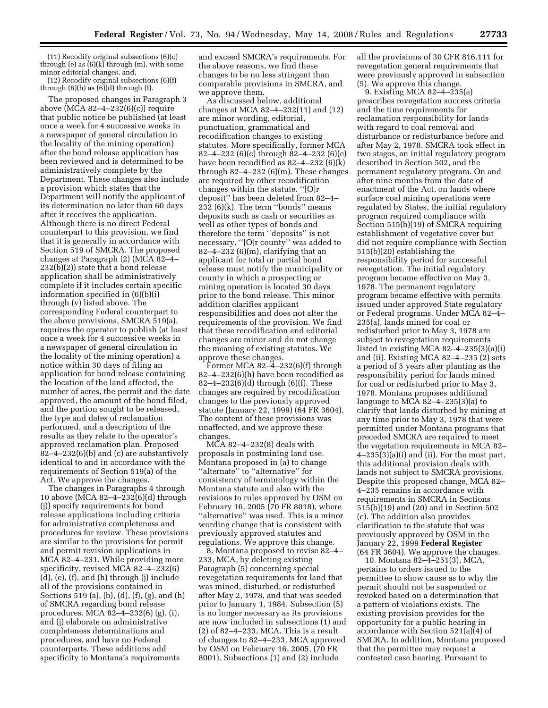(11) Recodify original subsections (6)(c) through (e) as  $(6)(k)$  through (m), with some minor editorial changes, and,

(12) Recodify original subsections (6)(f) through  $(6)(h)$  as  $(6)(d)$  through  $(f)$ .

The proposed changes in Paragraph 3 above (MCA 82–4–232(6)(c)) require that public notice be published (at least once a week for 4 successive weeks in a newspaper of general circulation in the locality of the mining operation) after the bond release application has been reviewed and is determined to be administratively complete by the Department. These changes also include a provision which states that the Department will notify the applicant of its determination no later than 60 days after it receives the application. Although there is no direct Federal counterpart to this provision, we find that it is generally in accordance with Section 519 of SMCRA. The proposed changes at Paragraph (2) (MCA 82–4– 232(b)(2)) state that a bond release application shall be administratively complete if it includes certain specific information specified in (6)(b)(i) through (v) listed above. The corresponding Federal counterpart to the above provisions, SMCRA 519(a), requires the operator to publish (at least once a week for 4 successive weeks in a newspaper of general circulation in the locality of the mining operation) a notice within 30 days of filing an application for bond release containing the location of the land affected, the number of acres, the permit and the date approved, the amount of the bond filed, and the portion sought to be released, the type and dates of reclamation performed, and a description of the results as they relate to the operator's approved reclamation plan. Proposed  $82-4-232(6)$ (b) and (c) are substantively identical to and in accordance with the requirements of Section 519(a) of the Act. We approve the changes.

The changes in Paragraphs 4 through 10 above (MCA 82–4–232(6)(d) through (j)) specify requirements for bond release applications including criteria for administrative completeness and procedures for review. These provisions are similar to the provisions for permit and permit revision applications in MCA 82–4–231. While providing more specificity, revised MCA 82–4–232(6) (d), (e), (f), and (h) through (j) include all of the provisions contained in Sections 519 (a), (b), (d), (f), (g), and (h) of SMCRA regarding bond release procedures. MCA 82–4–232(6) (g), (i), and (j) elaborate on administrative completeness determinations and procedures, and have no Federal counterparts. These additions add specificity to Montana's requirements

and exceed SMCRA's requirements. For the above reasons, we find these changes to be no less stringent than comparable provisions in SMCRA, and we approve them.

As discussed below, additional changes at MCA 82–4–232(11) and (12) are minor wording, editorial, punctuation, grammatical and recodification changes to existing statutes. More specifically, former MCA 82–4–232 (6)(c) through 82–4–232 (6)(e) have been recodified as 82–4–232 (6)(k) through  $82-4-232$  (6)(m). These changes are required by other recodification changes within the statute. ''[O]r deposit'' has been deleted from 82–4– 232 (6)(k). The term ''bonds'' means deposits such as cash or securities as well as other types of bonds and therefore the term ''deposits'' is not necessary. ''[O]r county'' was added to  $82-4-232$  (6)(m), clarifying that an applicant for total or partial bond release must notify the municipality or county in which a prospecting or mining operation is located 30 days prior to the bond release. This minor addition clarifies applicant responsibilities and does not alter the requirements of the provision. We find that these recodification and editorial changes are minor and do not change the meaning of existing statutes. We approve these changes.

Former MCA  $82-\frac{3}{2}-232(6)$  through 82–4–232(6)(h) have been recodified as 82–4–232(6)(d) through (6)(f). These changes are required by recodification changes to the previously approved statute (January 22, 1999) (64 FR 3604). The content of these provisions was unaffected, and we approve these changes.

MCA 82–4–232(8) deals with proposals in postmining land use. Montana proposed in (a) to change "alternate" to "alternative" for consistency of terminology within the Montana statute and also with the revisions to rules approved by OSM on February 16, 2005 (70 FR 8018), where ''alternative'' was used. This is a minor wording change that is consistent with previously approved statutes and regulations. We approve this change.

8. Montana proposed to revise 82–4– 233, MCA, by deleting existing Paragraph (5) concerning special revegetation requirements for land that was mined, disturbed, or redisturbed after May 2, 1978, and that was seeded prior to January 1, 1984. Subsection (5) is no longer necessary as its provisions are now included in subsections (1) and (2) of 82–4–233, MCA. This is a result of changes to 82–4–233, MCA approved by OSM on February 16, 2005, (70 FR 8001). Subsections (1) and (2) include

all the provisions of 30 CFR 816.111 for revegetation general requirements that were previously approved in subsection (5). We approve this change.

9. Existing MCA 82–4–235(a) prescribes revegetation success criteria and the time requirements for reclamation responsibility for lands with regard to coal removal and disturbance or redisturbance before and after May 2, 1978. SMCRA took effect in two stages, an initial regulatory program described in Section 502, and the permanent regulatory program. On and after nine months from the date of enactment of the Act, on lands where surface coal mining operations were regulated by States, the initial regulatory program required compliance with Section 515(b)(19) of SMCRA requiring establishment of vegetative cover but did not require compliance with Section 515(b)(20) establishing the responsibility period for successful revegetation. The initial regulatory program became effective on May 3, 1978. The permanent regulatory program became effective with permits issued under approved State regulatory or Federal programs. Under MCA 82–4– 235(a), lands mined for coal or redisturbed prior to May 3, 1978 are subject to revegetation requirements listed in existing MCA 82–4–235(3)(a)(i) and (ii). Existing MCA 82–4–235 (2) sets a period of 5 years after planting as the responsibility period for lands mined for coal or redisturbed prior to May 3, 1978. Montana proposes additional language to MCA 82–4–235(3)(a) to clarify that lands disturbed by mining at any time prior to May 3, 1978 that were permitted under Montana programs that preceded SMCRA are required to meet the vegetation requirements in MCA 82– 4–235(3)(a)(i) and (ii). For the most part, this additional provision deals with lands not subject to SMCRA provisions. Despite this proposed change, MCA 82– 4–235 remains in accordance with requirements in SMCRA in Sections 515(b)(19) and (20) and in Section 502 (c). The addition also provides clarification to the statute that was previously approved by OSM in the January 22, 1999 **Federal Register**  (64 FR 3604). We approve the changes.

10. Montana 82–4–251(3), MCA, pertains to orders issued to the permittee to show cause as to why the permit should not be suspended or revoked based on a determination that a pattern of violations exists. The existing provision provides for the opportunity for a public hearing in accordance with Section 521(a)(4) of SMCRA. In addition, Montana proposed that the permittee may request a contested case hearing. Pursuant to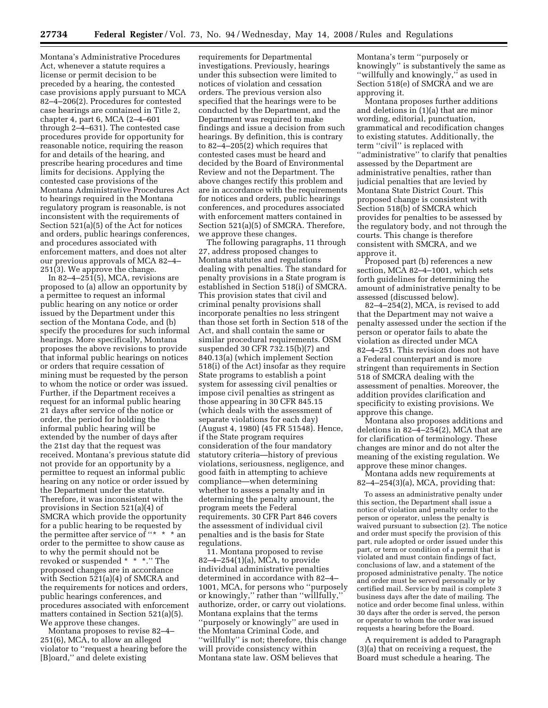Montana's Administrative Procedures Act, whenever a statute requires a license or permit decision to be preceded by a hearing, the contested case provisions apply pursuant to MCA 82–4–206(2). Procedures for contested case hearings are contained in Title 2, chapter 4, part 6, MCA (2–4–601 through 2–4–631). The contested case procedures provide for opportunity for reasonable notice, requiring the reason for and details of the hearing, and prescribe hearing procedures and time limits for decisions. Applying the contested case provisions of the Montana Administrative Procedures Act to hearings required in the Montana regulatory program is reasonable, is not inconsistent with the requirements of Section 521(a)(5) of the Act for notices and orders, public hearings conferences, and procedures associated with enforcement matters, and does not alter our previous approvals of MCA 82–4– 251(3). We approve the change.

In 82–4–251(5), MCA, revisions are proposed to (a) allow an opportunity by a permittee to request an informal public hearing on any notice or order issued by the Department under this section of the Montana Code, and (b) specify the procedures for such informal hearings. More specifically, Montana proposes the above revisions to provide that informal public hearings on notices or orders that require cessation of mining must be requested by the person to whom the notice or order was issued. Further, if the Department receives a request for an informal public hearing 21 days after service of the notice or order, the period for holding the informal public hearing will be extended by the number of days after the 21st day that the request was received. Montana's previous statute did not provide for an opportunity by a permittee to request an informal public hearing on any notice or order issued by the Department under the statute. Therefore, it was inconsistent with the provisions in Section 521(a)(4) of SMCRA which provide the opportunity for a public hearing to be requested by the permittee after service of "\*  $*$  \* an order to the permittee to show cause as to why the permit should not be revoked or suspended \* \* \*.'' The proposed changes are in accordance with Section 521(a)(4) of SMCRA and the requirements for notices and orders, public hearings conferences, and procedures associated with enforcement matters contained in Section 521(a)(5). We approve these changes.

Montana proposes to revise 82–4– 251(6), MCA, to allow an alleged violator to ''request a hearing before the [B]oard,'' and delete existing

requirements for Departmental investigations. Previously, hearings under this subsection were limited to notices of violation and cessation orders. The previous version also specified that the hearings were to be conducted by the Department, and the Department was required to make findings and issue a decision from such hearings. By definition, this is contrary to 82–4–205(2) which requires that contested cases must be heard and decided by the Board of Environmental Review and not the Department. The above changes rectify this problem and are in accordance with the requirements for notices and orders, public hearings conferences, and procedures associated with enforcement matters contained in Section 521(a)(5) of SMCRA. Therefore, we approve these changes.

The following paragraphs, 11 through 27, address proposed changes to Montana statutes and regulations dealing with penalties. The standard for penalty provisions in a State program is established in Section 518(i) of SMCRA. This provision states that civil and criminal penalty provisions shall incorporate penalties no less stringent than those set forth in Section 518 of the Act, and shall contain the same or similar procedural requirements. OSM suspended 30 CFR 732.15(b)(7) and 840.13(a) (which implement Section 518(i) of the Act) insofar as they require State programs to establish a point system for assessing civil penalties or impose civil penalties as stringent as those appearing in 30 CFR 845.15 (which deals with the assessment of separate violations for each day) (August 4, 1980) (45 FR 51548). Hence, if the State program requires consideration of the four mandatory statutory criteria—history of previous violations, seriousness, negligence, and good faith in attempting to achieve compliance—when determining whether to assess a penalty and in determining the penalty amount, the program meets the Federal requirements. 30 CFR Part 846 covers the assessment of individual civil penalties and is the basis for State regulations.

11. Montana proposed to revise 82–4–254(1)(a), MCA, to provide individual administrative penalties determined in accordance with 82–4– 1001, MCA, for persons who ''purposely or knowingly,'' rather than ''willfully,'' authorize, order, or carry out violations. Montana explains that the terms ''purposely or knowingly'' are used in the Montana Criminal Code, and ''willfully'' is not; therefore, this change will provide consistency within Montana state law. OSM believes that

Montana's term ''purposely or knowingly'' is substantively the same as ''willfully and knowingly,'' as used in Section 518(e) of SMCRA and we are approving it.

Montana proposes further additions and deletions in (1)(a) that are minor wording, editorial, punctuation, grammatical and recodification changes to existing statutes. Additionally, the term "civil" is replaced with ''administrative'' to clarify that penalties assessed by the Department are administrative penalties, rather than judicial penalties that are levied by Montana State District Court. This proposed change is consistent with Section 518(b) of SMCRA which provides for penalties to be assessed by the regulatory body, and not through the courts. This change is therefore consistent with SMCRA, and we approve it.

Proposed part (b) references a new section, MCA 82–4–1001, which sets forth guidelines for determining the amount of administrative penalty to be assessed (discussed below).

82–4–254(2), MCA, is revised to add that the Department may not waive a penalty assessed under the section if the person or operator fails to abate the violation as directed under MCA 82–4–251. This revision does not have a Federal counterpart and is more stringent than requirements in Section 518 of SMCRA dealing with the assessment of penalties. Moreover, the addition provides clarification and specificity to existing provisions. We approve this change.

Montana also proposes additions and deletions in 82–4–254(2), MCA that are for clarification of terminology. These changes are minor and do not alter the meaning of the existing regulation. We approve these minor changes.

Montana adds new requirements at  $82-4-254(3)(a)$ , MCA, providing that:

To assess an administrative penalty under this section, the Department shall issue a notice of violation and penalty order to the person or operator, unless the penalty is waived pursuant to subsection (2). The notice and order must specify the provision of this part, rule adopted or order issued under this part, or term or condition of a permit that is violated and must contain findings of fact, conclusions of law, and a statement of the proposed administrative penalty. The notice and order must be served personally or by certified mail. Service by mail is complete 3 business days after the date of mailing. The notice and order become final unless, within 30 days after the order is served, the person or operator to whom the order was issued requests a hearing before the Board.

A requirement is added to Paragraph (3)(a) that on receiving a request, the Board must schedule a hearing. The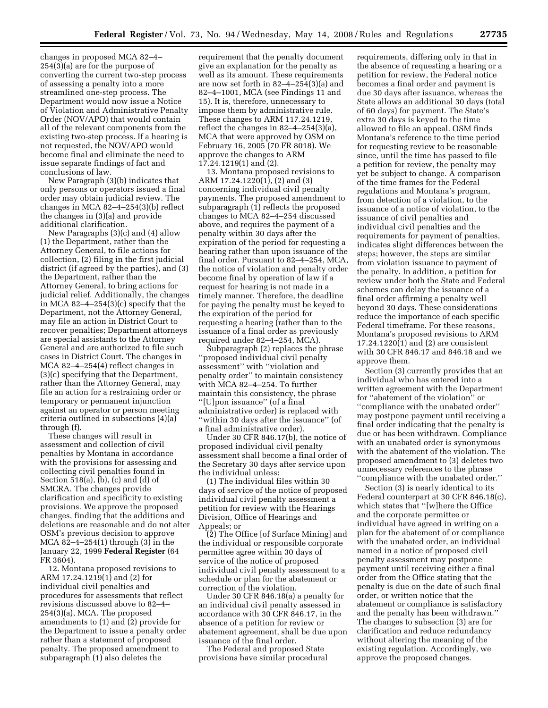changes in proposed MCA 82–4– 254(3)(a) are for the purpose of converting the current two-step process of assessing a penalty into a more streamlined one-step process. The Department would now issue a Notice of Violation and Administrative Penalty Order (NOV/APO) that would contain all of the relevant components from the existing two-step process. If a hearing is not requested, the NOV/APO would become final and eliminate the need to issue separate findings of fact and conclusions of law.

New Paragraph (3)(b) indicates that only persons or operators issued a final order may obtain judicial review. The changes in MCA 82–4–254(3)(b) reflect the changes in (3)(a) and provide additional clarification.

New Paragraphs (3)(c) and (4) allow (1) the Department, rather than the Attorney General, to file actions for collection, (2) filing in the first judicial district (if agreed by the parties), and (3) the Department, rather than the Attorney General, to bring actions for judicial relief. Additionally, the changes in MCA 82–4–254(3)(c) specify that the Department, not the Attorney General, may file an action in District Court to recover penalties; Department attorneys are special assistants to the Attorney General and are authorized to file such cases in District Court. The changes in MCA 82–4–254(4) reflect changes in (3)(c) specifying that the Department, rather than the Attorney General, may file an action for a restraining order or temporary or permanent injunction against an operator or person meeting criteria outlined in subsections (4)(a) through (f).

These changes will result in assessment and collection of civil penalties by Montana in accordance with the provisions for assessing and collecting civil penalties found in Section 518(a), (b), (c) and (d) of SMCRA. The changes provide clarification and specificity to existing provisions. We approve the proposed changes, finding that the additions and deletions are reasonable and do not alter OSM's previous decision to approve MCA 82–4–254(1) through (3) in the January 22, 1999 **Federal Register** (64 FR 3604).

12. Montana proposed revisions to ARM 17.24.1219(1) and (2) for individual civil penalties and procedures for assessments that reflect revisions discussed above to 82–4– 254(3)(a), MCA. The proposed amendments to (1) and (2) provide for the Department to issue a penalty order rather than a statement of proposed penalty. The proposed amendment to subparagraph (1) also deletes the

requirement that the penalty document give an explanation for the penalty as well as its amount. These requirements are now set forth in 82–4–254(3)(a) and 82–4–1001, MCA (see Findings 11 and 15). It is, therefore, unnecessary to impose them by administrative rule. These changes to ARM 117.24.1219, reflect the changes in 82–4–254(3)(a), MCA that were approved by OSM on February 16, 2005 (70 FR 8018). We approve the changes to ARM 17.24.1219(1) and (2).

13. Montana proposed revisions to ARM 17.24.1220(1), (2) and (3) concerning individual civil penalty payments. The proposed amendment to subparagraph (1) reflects the proposed changes to MCA 82–4–254 discussed above, and requires the payment of a penalty within 30 days after the expiration of the period for requesting a hearing rather than upon issuance of the final order. Pursuant to 82–4–254, MCA, the notice of violation and penalty order become final by operation of law if a request for hearing is not made in a timely manner. Therefore, the deadline for paying the penalty must be keyed to the expiration of the period for requesting a hearing (rather than to the issuance of a final order as previously required under 82–4–254, MCA).

Subparagraph (2) replaces the phrase ''proposed individual civil penalty assessment'' with ''violation and penalty order'' to maintain consistency with MCA 82–4–254. To further maintain this consistency, the phrase ''[U]pon issuance'' (of a final administrative order) is replaced with ''within 30 days after the issuance'' (of a final administrative order).

Under 30 CFR 846.17(b), the notice of proposed individual civil penalty assessment shall become a final order of the Secretary 30 days after service upon the individual unless:

(1) The individual files within 30 days of service of the notice of proposed individual civil penalty assessment a petition for review with the Hearings Division, Office of Hearings and Appeals; or

(2) The Office [of Surface Mining] and the individual or responsible corporate permittee agree within 30 days of service of the notice of proposed individual civil penalty assessment to a schedule or plan for the abatement or correction of the violation.

Under 30 CFR 846.18(a) a penalty for an individual civil penalty assessed in accordance with 30 CFR 846.17, in the absence of a petition for review or abatement agreement, shall be due upon issuance of the final order.

The Federal and proposed State provisions have similar procedural requirements, differing only in that in the absence of requesting a hearing or a petition for review, the Federal notice becomes a final order and payment is due 30 days after issuance, whereas the State allows an additional 30 days (total of 60 days) for payment. The State's extra 30 days is keyed to the time allowed to file an appeal. OSM finds Montana's reference to the time period for requesting review to be reasonable since, until the time has passed to file a petition for review, the penalty may yet be subject to change. A comparison of the time frames for the Federal regulations and Montana's program, from detection of a violation, to the issuance of a notice of violation, to the issuance of civil penalties and individual civil penalties and the requirements for payment of penalties, indicates slight differences between the steps; however, the steps are similar from violation issuance to payment of the penalty. In addition, a petition for review under both the State and Federal schemes can delay the issuance of a final order affirming a penalty well beyond 30 days. These considerations reduce the importance of each specific Federal timeframe. For these reasons, Montana's proposed revisions to ARM 17.24.1220(1) and (2) are consistent with 30 CFR 846.17 and 846.18 and we approve them.

Section (3) currently provides that an individual who has entered into a written agreement with the Department for ''abatement of the violation'' or ''compliance with the unabated order'' may postpone payment until receiving a final order indicating that the penalty is due or has been withdrawn. Compliance with an unabated order is synonymous with the abatement of the violation. The proposed amendment to (3) deletes two unnecessary references to the phrase ''compliance with the unabated order.''

Section (3) is nearly identical to its Federal counterpart at 30 CFR 846.18(c), which states that ''[w]here the Office and the corporate permittee or individual have agreed in writing on a plan for the abatement of or compliance with the unabated order, an individual named in a notice of proposed civil penalty assessment may postpone payment until receiving either a final order from the Office stating that the penalty is due on the date of such final order, or written notice that the abatement or compliance is satisfactory and the penalty has been withdrawn.'' The changes to subsection (3) are for clarification and reduce redundancy without altering the meaning of the existing regulation. Accordingly, we approve the proposed changes.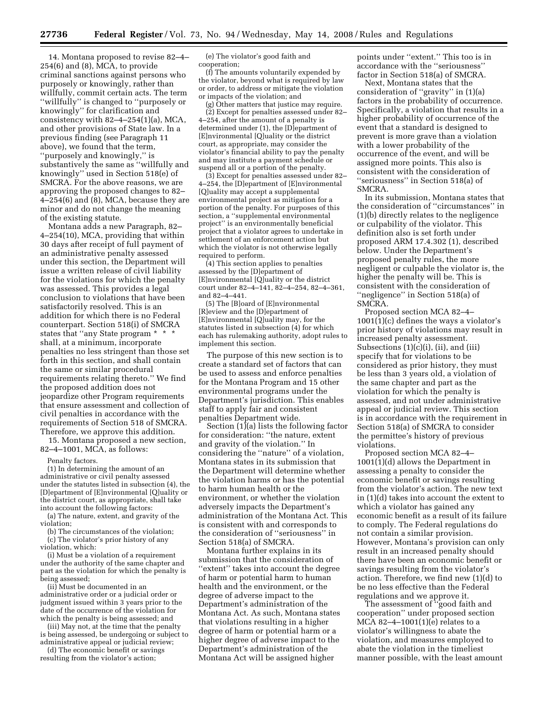14. Montana proposed to revise 82–4– 254(6) and (8), MCA, to provide criminal sanctions against persons who purposely or knowingly, rather than willfully, commit certain acts. The term ''willfully'' is changed to ''purposely or knowingly'' for clarification and consistency with  $82-4-254(1)(a)$ , MCA, and other provisions of State law. In a previous finding (see Paragraph 11 above), we found that the term, ''purposely and knowingly,'' is substantively the same as ''willfully and knowingly'' used in Section 518(e) of SMCRA. For the above reasons, we are approving the proposed changes to 82–  $4-254(6)$  and  $(8)$ , MCA, because they are minor and do not change the meaning of the existing statute.

Montana adds a new Paragraph, 82– 4–254(10), MCA, providing that within 30 days after receipt of full payment of an administrative penalty assessed under this section, the Department will issue a written release of civil liability for the violations for which the penalty was assessed. This provides a legal conclusion to violations that have been satisfactorily resolved. This is an addition for which there is no Federal counterpart. Section 518(i) of SMCRA states that "any State program \* \* \* shall, at a minimum, incorporate penalties no less stringent than those set forth in this section, and shall contain the same or similar procedural requirements relating thereto.'' We find the proposed addition does not jeopardize other Program requirements that ensure assessment and collection of civil penalties in accordance with the requirements of Section 518 of SMCRA. Therefore, we approve this addition.

15. Montana proposed a new section, 82–4–1001, MCA, as follows:

Penalty factors.

(1) In determining the amount of an administrative or civil penalty assessed under the statutes listed in subsection (4), the [D]epartment of [E]nvironmental [Q]uality or the district court, as appropriate, shall take into account the following factors:

(a) The nature, extent, and gravity of the violation;

(b) The circumstances of the violation;

(c) The violator's prior history of any violation, which:

(i) Must be a violation of a requirement under the authority of the same chapter and part as the violation for which the penalty is being assessed;

(ii) Must be documented in an administrative order or a judicial order or judgment issued within 3 years prior to the date of the occurrence of the violation for which the penalty is being assessed; and

(iii) May not, at the time that the penalty is being assessed, be undergoing or subject to administrative appeal or judicial review;

(d) The economic benefit or savings resulting from the violator's action;

(e) The violator's good faith and cooperation;

(f) The amounts voluntarily expended by the violator, beyond what is required by law or order, to address or mitigate the violation or impacts of the violation; and

(g) Other matters that justice may require. (2) Except for penalties assessed under 82– 4–254, after the amount of a penalty is determined under (1), the [D]epartment of [E]nvironmental [Q]uality or the district court, as appropriate, may consider the violator's financial ability to pay the penalty and may institute a payment schedule or suspend all or a portion of the penalty.

(3) Except for penalties assessed under 82– 4–254, the [D]epartment of [E]nvironmental [Q]uality may accept a supplemental environmental project as mitigation for a portion of the penalty. For purposes of this section, a ''supplemental environmental project'' is an environmentally beneficial project that a violator agrees to undertake in settlement of an enforcement action but which the violator is not otherwise legally required to perform.

(4) This section applies to penalties assessed by the [D]epartment of [E]nvironmental [Q]uality or the district court under 82–4–141, 82–4–254, 82–4–361, and 82–4–441.

(5) The [B]oard of [E]nvironmental [R]eview and the [D]epartment of [E]nvironmental [Q]uality may, for the statutes listed in subsection (4) for which each has rulemaking authority, adopt rules to implement this section.

The purpose of this new section is to create a standard set of factors that can be used to assess and enforce penalties for the Montana Program and 15 other environmental programs under the Department's jurisdiction. This enables staff to apply fair and consistent penalties Department wide.

Section (1)(a) lists the following factor for consideration: ''the nature, extent and gravity of the violation.'' In considering the ''nature'' of a violation, Montana states in its submission that the Department will determine whether the violation harms or has the potential to harm human health or the environment, or whether the violation adversely impacts the Department's administration of the Montana Act. This is consistent with and corresponds to the consideration of ''seriousness'' in Section 518(a) of SMCRA.

Montana further explains in its submission that the consideration of ''extent'' takes into account the degree of harm or potential harm to human health and the environment, or the degree of adverse impact to the Department's administration of the Montana Act. As such, Montana states that violations resulting in a higher degree of harm or potential harm or a higher degree of adverse impact to the Department's administration of the Montana Act will be assigned higher

points under ''extent.'' This too is in accordance with the ''seriousness'' factor in Section 518(a) of SMCRA.

Next, Montana states that the consideration of ''gravity'' in (1)(a) factors in the probability of occurrence. Specifically, a violation that results in a higher probability of occurrence of the event that a standard is designed to prevent is more grave than a violation with a lower probability of the occurrence of the event, and will be assigned more points. This also is consistent with the consideration of ''seriousness'' in Section 518(a) of SMCRA.

In its submission, Montana states that the consideration of ''circumstances'' in (1)(b) directly relates to the negligence or culpability of the violator. This definition also is set forth under proposed ARM 17.4.302 (1), described below. Under the Department's proposed penalty rules, the more negligent or culpable the violator is, the higher the penalty will be. This is consistent with the consideration of ''negligence'' in Section 518(a) of SMCRA.

Proposed section MCA 82–4– 1001(1)(c) defines the ways a violator's prior history of violations may result in increased penalty assessment. Subsections  $(1)(c)(i)$ ,  $(ii)$ , and  $(iii)$ specify that for violations to be considered as prior history, they must be less than 3 years old, a violation of the same chapter and part as the violation for which the penalty is assessed, and not under administrative appeal or judicial review. This section is in accordance with the requirement in Section 518(a) of SMCRA to consider the permittee's history of previous violations.

Proposed section MCA 82–4– 1001(1)(d) allows the Department in assessing a penalty to consider the economic benefit or savings resulting from the violator's action. The new text in (1)(d) takes into account the extent to which a violator has gained any economic benefit as a result of its failure to comply. The Federal regulations do not contain a similar provision. However, Montana's provision can only result in an increased penalty should there have been an economic benefit or savings resulting from the violator's action. Therefore, we find new (1)(d) to be no less effective than the Federal regulations and we approve it.

The assessment of ''good faith and cooperation'' under proposed section MCA 82–4–1001(1)(e) relates to a violator's willingness to abate the violation, and measures employed to abate the violation in the timeliest manner possible, with the least amount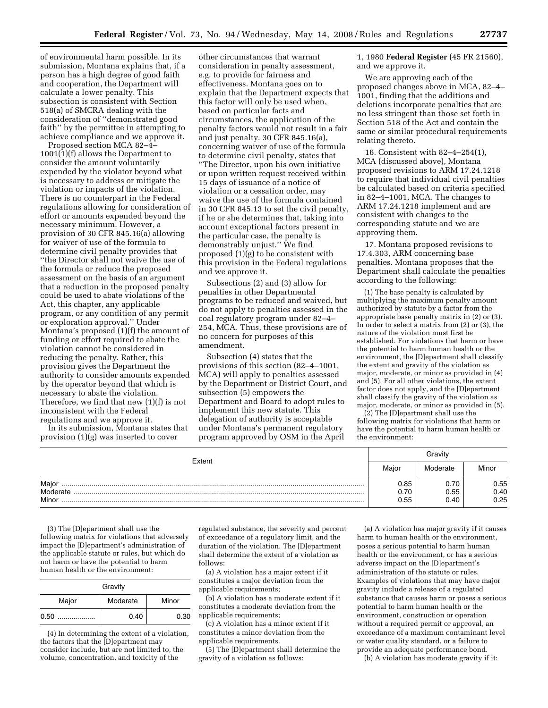of environmental harm possible. In its submission, Montana explains that, if a person has a high degree of good faith and cooperation, the Department will calculate a lower penalty. This subsection is consistent with Section 518(a) of SMCRA dealing with the consideration of ''demonstrated good faith'' by the permittee in attempting to achieve compliance and we approve it.

Proposed section MCA 82–4– 1001(1)(f) allows the Department to consider the amount voluntarily expended by the violator beyond what is necessary to address or mitigate the violation or impacts of the violation. There is no counterpart in the Federal regulations allowing for consideration of effort or amounts expended beyond the necessary minimum. However, a provision of 30 CFR 845.16(a) allowing for waiver of use of the formula to determine civil penalty provides that ''the Director shall not waive the use of the formula or reduce the proposed assessment on the basis of an argument that a reduction in the proposed penalty could be used to abate violations of the Act, this chapter, any applicable program, or any condition of any permit or exploration approval.'' Under Montana's proposed (1)(f) the amount of funding or effort required to abate the violation cannot be considered in reducing the penalty. Rather, this provision gives the Department the authority to consider amounts expended by the operator beyond that which is necessary to abate the violation. Therefore, we find that new (1)(f) is not inconsistent with the Federal regulations and we approve it.

In its submission, Montana states that provision (1)(g) was inserted to cover

other circumstances that warrant consideration in penalty assessment, e.g. to provide for fairness and effectiveness. Montana goes on to explain that the Department expects that this factor will only be used when, based on particular facts and circumstances, the application of the penalty factors would not result in a fair and just penalty. 30 CFR 845.16(a), concerning waiver of use of the formula to determine civil penalty, states that ''The Director, upon his own initiative or upon written request received within 15 days of issuance of a notice of violation or a cessation order, may waive the use of the formula contained in 30 CFR 845.13 to set the civil penalty, if he or she determines that, taking into account exceptional factors present in the particular case, the penalty is demonstrably unjust.'' We find proposed (1)(g) to be consistent with this provision in the Federal regulations and we approve it.

Subsections (2) and (3) allow for penalties in other Departmental programs to be reduced and waived, but do not apply to penalties assessed in the coal regulatory program under 82–4– 254, MCA. Thus, these provisions are of no concern for purposes of this amendment.

Subsection (4) states that the provisions of this section (82–4–1001, MCA) will apply to penalties assessed by the Department or District Court, and subsection (5) empowers the Department and Board to adopt rules to implement this new statute. This delegation of authority is acceptable under Montana's permanent regulatory program approved by OSM in the April

1, 1980 **Federal Register** (45 FR 21560), and we approve it.

We are approving each of the proposed changes above in MCA, 82–4– 1001, finding that the additions and deletions incorporate penalties that are no less stringent than those set forth in Section 518 of the Act and contain the same or similar procedural requirements relating thereto.

16. Consistent with 82–4–254(1), MCA (discussed above), Montana proposed revisions to ARM 17.24.1218 to require that individual civil penalties be calculated based on criteria specified in 82–4–1001, MCA. The changes to ARM 17.24.1218 implement and are consistent with changes to the corresponding statute and we are approving them.

17. Montana proposed revisions to 17.4.303, ARM concerning base penalties. Montana proposes that the Department shall calculate the penalties according to the following:

(1) The base penalty is calculated by multiplying the maximum penalty amount authorized by statute by a factor from the appropriate base penalty matrix in (2) or (3). In order to select a matrix from (2) or (3), the nature of the violation must first be established. For violations that harm or have the potential to harm human health or the environment, the [D]epartment shall classify the extent and gravity of the violation as major, moderate, or minor as provided in (4) and (5). For all other violations, the extent factor does not apply, and the [D]epartment shall classify the gravity of the violation as major, moderate, or minor as provided in (5).

(2) The [D]epartment shall use the following matrix for violations that harm or have the potential to harm human health or the environment:

| Extent                     |                      | Gravity              |                      |  |
|----------------------------|----------------------|----------------------|----------------------|--|
|                            |                      | Moderate             | Minor                |  |
| Major<br>Moderate<br>Minor | 0.85<br>0.70<br>0.55 | 0.70<br>0.55<br>0.40 | 0.55<br>0.40<br>0.25 |  |

(3) The [D]epartment shall use the following matrix for violations that adversely impact the [D]epartment's administration of the applicable statute or rules, but which do not harm or have the potential to harm human health or the environment:

| Gravity |          |       |  |  |  |
|---------|----------|-------|--|--|--|
| Major   | Moderate | Minor |  |  |  |
| 0.50    | 0.40     | 0.30  |  |  |  |

(4) In determining the extent of a violation, the factors that the [D]epartment may consider include, but are not limited to, the volume, concentration, and toxicity of the

regulated substance, the severity and percent of exceedance of a regulatory limit, and the duration of the violation. The [D]epartment shall determine the extent of a violation as follows:

(a) A violation has a major extent if it constitutes a major deviation from the applicable requirements;

(b) A violation has a moderate extent if it constitutes a moderate deviation from the applicable requirements;

(c) A violation has a minor extent if it constitutes a minor deviation from the applicable requirements.

(5) The [D]epartment shall determine the gravity of a violation as follows:

(a) A violation has major gravity if it causes harm to human health or the environment, poses a serious potential to harm human health or the environment, or has a serious adverse impact on the [D]epartment's administration of the statute or rules. Examples of violations that may have major gravity include a release of a regulated substance that causes harm or poses a serious potential to harm human health or the environment, construction or operation without a required permit or approval, an exceedance of a maximum contaminant level or water quality standard, or a failure to provide an adequate performance bond.

(b) A violation has moderate gravity if it: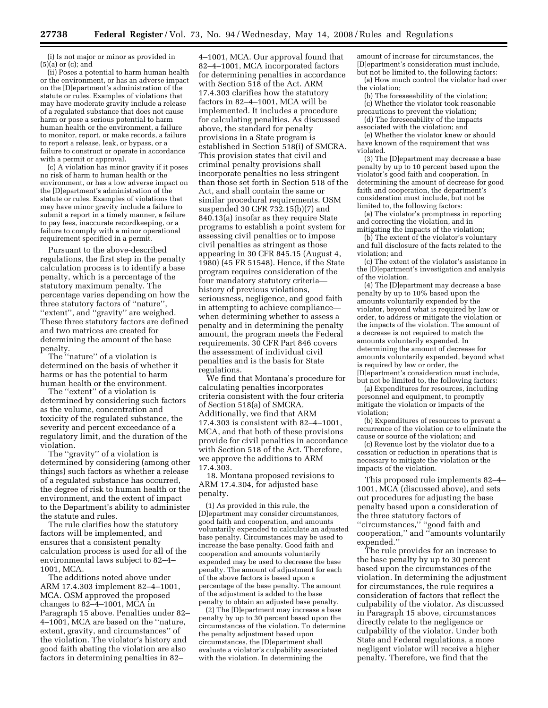(i) Is not major or minor as provided in (5)(a) or (c); and

(ii) Poses a potential to harm human health or the environment, or has an adverse impact on the [D]epartment's administration of the statute or rules. Examples of violations that may have moderate gravity include a release of a regulated substance that does not cause harm or pose a serious potential to harm human health or the environment, a failure to monitor, report, or make records, a failure to report a release, leak, or bypass, or a failure to construct or operate in accordance with a permit or approval.

(c) A violation has minor gravity if it poses no risk of harm to human health or the environment, or has a low adverse impact on the [D]epartment's administration of the statute or rules. Examples of violations that may have minor gravity include a failure to submit a report in a timely manner, a failure to pay fees, inaccurate recordkeeping, or a failure to comply with a minor operational requirement specified in a permit.

Pursuant to the above-described regulations, the first step in the penalty calculation process is to identify a base penalty, which is a percentage of the statutory maximum penalty. The percentage varies depending on how the three statutory factors of ''nature'', ''extent'', and ''gravity'' are weighed. These three statutory factors are defined and two matrices are created for determining the amount of the base penalty.

The ''nature'' of a violation is determined on the basis of whether it harms or has the potential to harm human health or the environment.

The ''extent'' of a violation is determined by considering such factors as the volume, concentration and toxicity of the regulated substance, the severity and percent exceedance of a regulatory limit, and the duration of the violation.

The ''gravity'' of a violation is determined by considering (among other things) such factors as whether a release of a regulated substance has occurred, the degree of risk to human health or the environment, and the extent of impact to the Department's ability to administer the statute and rules.

The rule clarifies how the statutory factors will be implemented, and ensures that a consistent penalty calculation process is used for all of the environmental laws subject to 82–4– 1001, MCA.

The additions noted above under ARM 17.4.303 implement 82–4–1001, MCA. OSM approved the proposed changes to 82–4–1001, MCA in Paragraph 15 above. Penalties under 82– 4–1001, MCA are based on the ''nature, extent, gravity, and circumstances'' of the violation. The violator's history and good faith abating the violation are also factors in determining penalties in 82–

4–1001, MCA. Our approval found that 82–4–1001, MCA incorporated factors for determining penalties in accordance with Section 518 of the Act. ARM 17.4.303 clarifies how the statutory factors in 82–4–1001, MCA will be implemented. It includes a procedure for calculating penalties. As discussed above, the standard for penalty provisions in a State program is established in Section 518(i) of SMCRA. This provision states that civil and criminal penalty provisions shall incorporate penalties no less stringent than those set forth in Section 518 of the Act, and shall contain the same or similar procedural requirements. OSM suspended 30 CFR 732.15(b)(7) and 840.13(a) insofar as they require State programs to establish a point system for assessing civil penalties or to impose civil penalties as stringent as those appearing in 30 CFR 845.15 (August 4, 1980) (45 FR 51548). Hence, if the State program requires consideration of the four mandatory statutory criteria history of previous violations, seriousness, negligence, and good faith in attempting to achieve compliance when determining whether to assess a penalty and in determining the penalty amount, the program meets the Federal requirements. 30 CFR Part 846 covers the assessment of individual civil penalties and is the basis for State regulations.

We find that Montana's procedure for calculating penalties incorporates criteria consistent with the four criteria of Section 518(a) of SMCRA. Additionally, we find that ARM 17.4.303 is consistent with 82–4–1001, MCA, and that both of these provisions provide for civil penalties in accordance with Section 518 of the Act. Therefore, we approve the additions to ARM 17.4.303.

18. Montana proposed revisions to ARM 17.4.304, for adjusted base penalty.

(1) As provided in this rule, the [D]epartment may consider circumstances, good faith and cooperation, and amounts voluntarily expended to calculate an adjusted base penalty. Circumstances may be used to increase the base penalty. Good faith and cooperation and amounts voluntarily expended may be used to decrease the base penalty. The amount of adjustment for each of the above factors is based upon a percentage of the base penalty. The amount of the adjustment is added to the base penalty to obtain an adjusted base penalty.

(2) The [D]epartment may increase a base penalty by up to 30 percent based upon the circumstances of the violation. To determine the penalty adjustment based upon circumstances, the [D]epartment shall evaluate a violator's culpability associated with the violation. In determining the

amount of increase for circumstances, the [D]epartment's consideration must include, but not be limited to, the following factors:

(a) How much control the violator had over the violation;

(b) The foreseeability of the violation; (c) Whether the violator took reasonable

precautions to prevent the violation; (d) The foreseeability of the impacts associated with the violation; and

(e) Whether the violator knew or should have known of the requirement that was violated.

(3) The [D]epartment may decrease a base penalty by up to 10 percent based upon the violator's good faith and cooperation. In determining the amount of decrease for good faith and cooperation, the department's consideration must include, but not be limited to, the following factors:

(a) The violator's promptness in reporting and correcting the violation, and in mitigating the impacts of the violation;

(b) The extent of the violator's voluntary and full disclosure of the facts related to the violation; and

(c) The extent of the violator's assistance in the [D]epartment's investigation and analysis of the violation.

(4) The [D]epartment may decrease a base penalty by up to 10% based upon the amounts voluntarily expended by the violator, beyond what is required by law or order, to address or mitigate the violation or the impacts of the violation. The amount of a decrease is not required to match the amounts voluntarily expended. In determining the amount of decrease for amounts voluntarily expended, beyond what is required by law or order, the [D]epartment's consideration must include, but not be limited to, the following factors:

(a) Expenditures for resources, including personnel and equipment, to promptly mitigate the violation or impacts of the violation;

(b) Expenditures of resources to prevent a recurrence of the violation or to eliminate the cause or source of the violation; and

(c) Revenue lost by the violator due to a cessation or reduction in operations that is necessary to mitigate the violation or the impacts of the violation.

This proposed rule implements 82–4– 1001, MCA (discussed above), and sets out procedures for adjusting the base penalty based upon a consideration of the three statutory factors of ''circumstances,'' ''good faith and cooperation,'' and ''amounts voluntarily expended.''

The rule provides for an increase to the base penalty by up to 30 percent based upon the circumstances of the violation. In determining the adjustment for circumstances, the rule requires a consideration of factors that reflect the culpability of the violator. As discussed in Paragraph 15 above, circumstances directly relate to the negligence or culpability of the violator. Under both State and Federal regulations, a more negligent violator will receive a higher penalty. Therefore, we find that the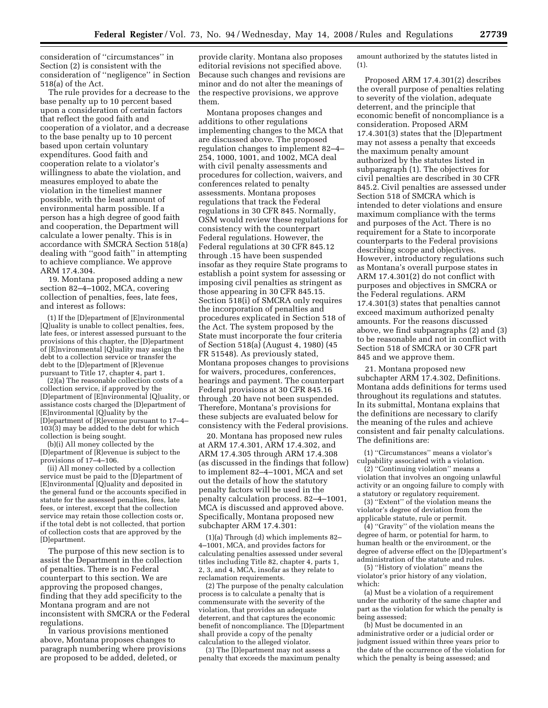consideration of ''circumstances'' in Section (2) is consistent with the consideration of ''negligence'' in Section 518(a) of the Act.

The rule provides for a decrease to the base penalty up to 10 percent based upon a consideration of certain factors that reflect the good faith and cooperation of a violator, and a decrease to the base penalty up to 10 percent based upon certain voluntary expenditures. Good faith and cooperation relate to a violator's willingness to abate the violation, and measures employed to abate the violation in the timeliest manner possible, with the least amount of environmental harm possible. If a person has a high degree of good faith and cooperation, the Department will calculate a lower penalty. This is in accordance with SMCRA Section 518(a) dealing with ''good faith'' in attempting to achieve compliance. We approve ARM 17.4.304.

19. Montana proposed adding a new section 82–4–1002, MCA, covering collection of penalties, fees, late fees, and interest as follows:

(1) If the [D]epartment of [E]nvironmental [Q]uality is unable to collect penalties, fees, late fees, or interest assessed pursuant to the provisions of this chapter, the [D]epartment of [E]nvironmental [Q]uality may assign the debt to a collection service or transfer the debt to the [D]epartment of [R]evenue pursuant to Title 17, chapter 4, part 1.

(2)(a) The reasonable collection costs of a collection service, if approved by the [D]epartment of [E]nvironmental [Q]uality, or assistance costs charged the [D]epartment of [E]nvironmental [Q]uality by the [D]epartment of [R]evenue pursuant to 17–4– 103(3) may be added to the debt for which collection is being sought.

(b)(i) All money collected by the [D]epartment of [R]evenue is subject to the provisions of 17–4–106.

(ii) All money collected by a collection service must be paid to the [D]epartment of [E]nvironmental [Q]uality and deposited in the general fund or the accounts specified in statute for the assessed penalties, fees, late fees, or interest, except that the collection service may retain those collection costs or, if the total debt is not collected, that portion of collection costs that are approved by the [D]epartment.

The purpose of this new section is to assist the Department in the collection of penalties. There is no Federal counterpart to this section. We are approving the proposed changes, finding that they add specificity to the Montana program and are not inconsistent with SMCRA or the Federal regulations.

In various provisions mentioned above, Montana proposes changes to paragraph numbering where provisions are proposed to be added, deleted, or

provide clarity. Montana also proposes editorial revisions not specified above. Because such changes and revisions are minor and do not alter the meanings of the respective provisions, we approve them.

Montana proposes changes and additions to other regulations implementing changes to the MCA that are discussed above. The proposed regulation changes to implement 82–4– 254, 1000, 1001, and 1002, MCA deal with civil penalty assessments and procedures for collection, waivers, and conferences related to penalty assessments. Montana proposes regulations that track the Federal regulations in 30 CFR 845. Normally, OSM would review these regulations for consistency with the counterpart Federal regulations. However, the Federal regulations at 30 CFR 845.12 through .15 have been suspended insofar as they require State programs to establish a point system for assessing or imposing civil penalties as stringent as those appearing in 30 CFR 845.15. Section 518(i) of SMCRA only requires the incorporation of penalties and procedures explicated in Section 518 of the Act. The system proposed by the State must incorporate the four criteria of Section 518(a) (August 4, 1980) (45 FR 51548). As previously stated, Montana proposes changes to provisions for waivers, procedures, conferences, hearings and payment. The counterpart Federal provisions at 30 CFR 845.16 through .20 have not been suspended. Therefore, Montana's provisions for these subjects are evaluated below for consistency with the Federal provisions.

20. Montana has proposed new rules at ARM 17.4.301, ARM 17.4.302, and ARM 17.4.305 through ARM 17.4.308 (as discussed in the findings that follow) to implement 82–4–1001, MCA and set out the details of how the statutory penalty factors will be used in the penalty calculation process. 82–4–1001, MCA is discussed and approved above. Specifically, Montana proposed new subchapter ARM 17.4.301:

(1)(a) Through (d) which implements 82– 4–1001, MCA, and provides factors for calculating penalties assessed under several titles including Title 82, chapter 4, parts 1, 2, 3, and 4, MCA, insofar as they relate to reclamation requirements.

(2) The purpose of the penalty calculation process is to calculate a penalty that is commensurate with the severity of the violation, that provides an adequate deterrent, and that captures the economic benefit of noncompliance. The [D]epartment shall provide a copy of the penalty calculation to the alleged violator.

(3) The [D]epartment may not assess a penalty that exceeds the maximum penalty

amount authorized by the statutes listed in (1).

Proposed ARM 17.4.301(2) describes the overall purpose of penalties relating to severity of the violation, adequate deterrent, and the principle that economic benefit of noncompliance is a consideration. Proposed ARM 17.4.301(3) states that the [D]epartment may not assess a penalty that exceeds the maximum penalty amount authorized by the statutes listed in subparagraph (1). The objectives for civil penalties are described in 30 CFR 845.2. Civil penalties are assessed under Section 518 of SMCRA which is intended to deter violations and ensure maximum compliance with the terms and purposes of the Act. There is no requirement for a State to incorporate counterparts to the Federal provisions describing scope and objectives. However, introductory regulations such as Montana's overall purpose states in ARM 17.4.301(2) do not conflict with purposes and objectives in SMCRA or the Federal regulations. ARM 17.4.301(3) states that penalties cannot exceed maximum authorized penalty amounts. For the reasons discussed above, we find subparagraphs (2) and (3) to be reasonable and not in conflict with Section 518 of SMCRA or 30 CFR part 845 and we approve them.

21. Montana proposed new subchapter ARM 17.4.302, Definitions. Montana adds definitions for terms used throughout its regulations and statutes. In its submittal, Montana explains that the definitions are necessary to clarify the meaning of the rules and achieve consistent and fair penalty calculations. The definitions are:

(1) ''Circumstances'' means a violator's culpability associated with a violation.

(2) ''Continuing violation'' means a violation that involves an ongoing unlawful activity or an ongoing failure to comply with a statutory or regulatory requirement.

(3) ''Extent'' of the violation means the violator's degree of deviation from the applicable statute, rule or permit.

(4) ''Gravity'' of the violation means the degree of harm, or potential for harm, to human health or the environment, or the degree of adverse effect on the [D]epartment's administration of the statute and rules.

(5) ''History of violation'' means the violator's prior history of any violation, which:

(a) Must be a violation of a requirement under the authority of the same chapter and part as the violation for which the penalty is being assessed;

(b) Must be documented in an administrative order or a judicial order or judgment issued within three years prior to the date of the occurrence of the violation for which the penalty is being assessed; and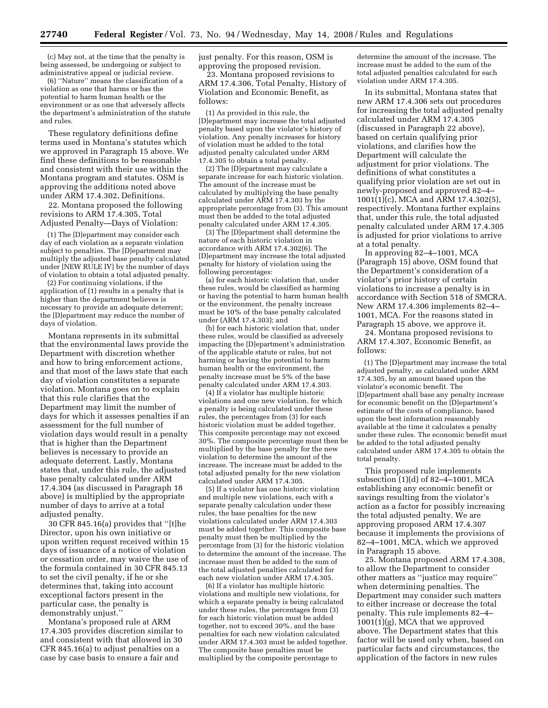(c) May not, at the time that the penalty is being assessed, be undergoing or subject to administrative appeal or judicial review.

(6) ''Nature'' means the classification of a violation as one that harms or has the potential to harm human health or the environment or as one that adversely affects the department's administration of the statute and rules.

These regulatory definitions define terms used in Montana's statutes which we approved in Paragraph 15 above. We find these definitions to be reasonable and consistent with their use within the Montana program and statutes. OSM is approving the additions noted above under ARM 17.4.302, Definitions.

22. Montana proposed the following revisions to ARM 17.4.305, Total Adjusted Penalty—Days of Violation:

(1) The [D]epartment may consider each day of each violation as a separate violation subject to penalties. The [D] epartment may multiply the adjusted base penalty calculated under [NEW RULE IV] by the number of days of violation to obtain a total adjusted penalty.

(2) For continuing violations, if the application of (1) results in a penalty that is higher than the department believes is necessary to provide an adequate deterrent; the [D]epartment may reduce the number of days of violation.

Montana represents in its submittal that the environmental laws provide the Department with discretion whether and how to bring enforcement actions, and that most of the laws state that each day of violation constitutes a separate violation. Montana goes on to explain that this rule clarifies that the Department may limit the number of days for which it assesses penalties if an assessment for the full number of violation days would result in a penalty that is higher than the Department believes is necessary to provide an adequate deterrent. Lastly, Montana states that, under this rule, the adjusted base penalty calculated under ARM 17.4.304 (as discussed in Paragraph 18 above) is multiplied by the appropriate number of days to arrive at a total adjusted penalty.

30 CFR 845.16(a) provides that ''[t]he Director, upon his own initiative or upon written request received within 15 days of issuance of a notice of violation or cessation order, may waive the use of the formula contained in 30 CFR 845.13 to set the civil penalty, if he or she determines that, taking into account exceptional factors present in the particular case, the penalty is demonstrably unjust.''

Montana's proposed rule at ARM 17.4.305 provides discretion similar to and consistent with that allowed in 30 CFR 845.16(a) to adjust penalties on a case by case basis to ensure a fair and

just penalty. For this reason, OSM is approving the proposed revision.

23. Montana proposed revisions to ARM 17.4.306, Total Penalty, History of Violation and Economic Benefit, as follows:

(1) As provided in this rule, the [D]epartment may increase the total adjusted penalty based upon the violator's history of violation. Any penalty increases for history of violation must be added to the total adjusted penalty calculated under ARM 17.4.305 to obtain a total penalty.

(2) The [D]epartment may calculate a separate increase for each historic violation. The amount of the increase must be calculated by multiplying the base penalty calculated under ARM 17.4.303 by the appropriate percentage from (3). This amount must then be added to the total adjusted penalty calculated under ARM 17.4.305.

(3) The [D]epartment shall determine the nature of each historic violation in accordance with ARM 17.4.302(6). The [D]epartment may increase the total adjusted penalty for history of violation using the following percentages:

(a) for each historic violation that, under these rules, would be classified as harming or having the potential to harm human health or the environment, the penalty increase must be 10% of the base penalty calculated under (ARM 17.4.303); and

(b) for each historic violation that, under these rules, would be classified as adversely impacting the [D]epartment's administration of the applicable statute or rules, but not harming or having the potential to harm human health or the environment, the penalty increase must be 5% of the base penalty calculated under ARM 17.4.303.

(4) If a violator has multiple historic violations and one new violation, for which a penalty is being calculated under these rules, the percentages from (3) for each historic violation must be added together. This composite percentage may not exceed 30%. The composite percentage must then be multiplied by the base penalty for the new violation to determine the amount of the increase. The increase must be added to the total adjusted penalty for the new violation calculated under ARM 17.4.305.

(5) If a violator has one historic violation and multiple new violations, each with a separate penalty calculation under these rules, the base penalties for the new violations calculated under ARM 17.4.303 must be added together. This composite base penalty must then be multiplied by the percentage from (3) for the historic violation to determine the amount of the increase. The increase must then be added to the sum of the total adjusted penalties calculated for each new violation under ARM 17.4.305.

(6) If a violator has multiple historic violations and multiple new violations, for which a separate penalty is being calculated under these rules, the percentages from (3) for each historic violation must be added together, not to exceed 30%, and the base penalties for each new violation calculated under ARM 17.4.303 must be added together. The composite base penalties must be multiplied by the composite percentage to

determine the amount of the increase. The increase must be added to the sum of the total adjusted penalties calculated for each violation under ARM 17.4.305.

In its submittal, Montana states that new ARM 17.4.306 sets out procedures for increasing the total adjusted penalty calculated under ARM 17.4.305 (discussed in Paragraph 22 above), based on certain qualifying prior violations, and clarifies how the Department will calculate the adjustment for prior violations. The definitions of what constitutes a qualifying prior violation are set out in newly-proposed and approved 82–4– 1001(1)(c), MCA and ARM 17.4.302(5), respectively. Montana further explains that, under this rule, the total adjusted penalty calculated under ARM 17.4.305 is adjusted for prior violations to arrive at a total penalty.

In approving 82–4–1001, MCA (Paragraph 15) above, OSM found that the Department's consideration of a violator's prior history of certain violations to increase a penalty is in accordance with Section 518 of SMCRA. New ARM 17.4.306 implements 82–4– 1001, MCA. For the reasons stated in Paragraph 15 above, we approve it.

24. Montana proposed revisions to ARM 17.4.307, Economic Benefit, as follows:

(1) The [D]epartment may increase the total adjusted penalty, as calculated under ARM 17.4.305, by an amount based upon the violator's economic benefit. The [D]epartment shall base any penalty increase for economic benefit on the [D]epartment's estimate of the costs of compliance, based upon the best information reasonably available at the time it calculates a penalty under these rules. The economic benefit must be added to the total adjusted penalty calculated under ARM 17.4.305 to obtain the total penalty.

This proposed rule implements subsection (1)(d) of 82–4–1001, MCA establishing any economic benefit or savings resulting from the violator's action as a factor for possibly increasing the total adjusted penalty. We are approving proposed ARM 17.4.307 because it implements the provisions of 82–4–1001, MCA, which we approved in Paragraph 15 above.

25. Montana proposed ARM 17.4.308, to allow the Department to consider other matters as ''justice may require'' when determining penalties. The Department may consider such matters to either increase or decrease the total penalty. This rule implements 82–4– 1001(1)(g), MCA that we approved above. The Department states that this factor will be used only when, based on particular facts and circumstances, the application of the factors in new rules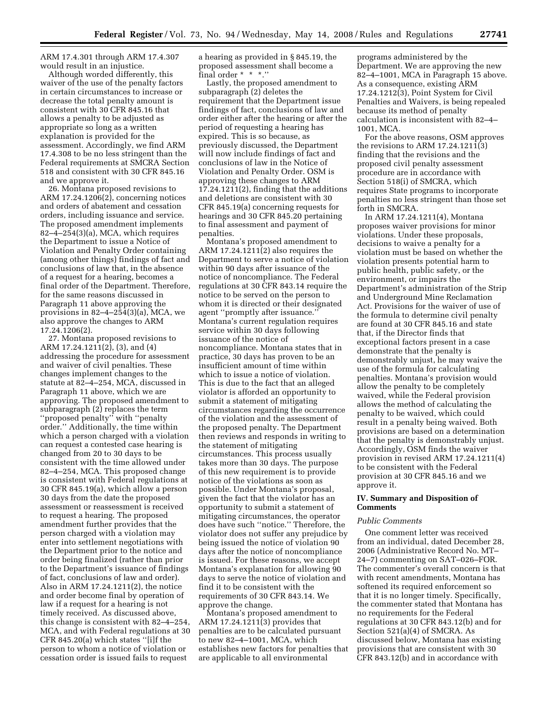ARM 17.4.301 through ARM 17.4.307 would result in an injustice.

Although worded differently, this waiver of the use of the penalty factors in certain circumstances to increase or decrease the total penalty amount is consistent with 30 CFR 845.16 that allows a penalty to be adjusted as appropriate so long as a written explanation is provided for the assessment. Accordingly, we find ARM 17.4.308 to be no less stringent than the Federal requirements at SMCRA Section 518 and consistent with 30 CFR 845.16 and we approve it.

26. Montana proposed revisions to ARM 17.24.1206(2), concerning notices and orders of abatement and cessation orders, including issuance and service. The proposed amendment implements  $82-4-254(3)(a)$ , MCA, which requires the Department to issue a Notice of Violation and Penalty Order containing (among other things) findings of fact and conclusions of law that, in the absence of a request for a hearing, becomes a final order of the Department. Therefore, for the same reasons discussed in Paragraph 11 above approving the provisions in  $82-4-254(3)(a)$ , MCA, we also approve the changes to ARM 17.24.1206(2).

27. Montana proposed revisions to ARM 17.24.1211(2), (3), and (4) addressing the procedure for assessment and waiver of civil penalties. These changes implement changes to the statute at 82–4–254, MCA, discussed in Paragraph 11 above, which we are approving. The proposed amendment to subparagraph (2) replaces the term ''proposed penalty'' with ''penalty order.'' Additionally, the time within which a person charged with a violation can request a contested case hearing is changed from 20 to 30 days to be consistent with the time allowed under 82–4–254, MCA. This proposed change is consistent with Federal regulations at 30 CFR 845.19(a), which allow a person 30 days from the date the proposed assessment or reassessment is received to request a hearing. The proposed amendment further provides that the person charged with a violation may enter into settlement negotiations with the Department prior to the notice and order being finalized (rather than prior to the Department's issuance of findings of fact, conclusions of law and order). Also in ARM 17.24.1211(2), the notice and order become final by operation of law if a request for a hearing is not timely received. As discussed above, this change is consistent with 82–4–254, MCA, and with Federal regulations at 30 CFR 845.20(a) which states ''[i]f the person to whom a notice of violation or cessation order is issued fails to request

a hearing as provided in § 845.19, the proposed assessment shall become a final order \* \* \*.''

Lastly, the proposed amendment to subparagraph (2) deletes the requirement that the Department issue findings of fact, conclusions of law and order either after the hearing or after the period of requesting a hearing has expired. This is so because, as previously discussed, the Department will now include findings of fact and conclusions of law in the Notice of Violation and Penalty Order. OSM is approving these changes to ARM 17.24.1211(2), finding that the additions and deletions are consistent with 30 CFR 845.19(a) concerning requests for hearings and 30 CFR 845.20 pertaining to final assessment and payment of penalties.

Montana's proposed amendment to ARM 17.24.1211(2) also requires the Department to serve a notice of violation within 90 days after issuance of the notice of noncompliance. The Federal regulations at 30 CFR 843.14 require the notice to be served on the person to whom it is directed or their designated agent ''promptly after issuance.'' Montana's current regulation requires service within 30 days following issuance of the notice of noncompliance. Montana states that in practice, 30 days has proven to be an insufficient amount of time within which to issue a notice of violation. This is due to the fact that an alleged violator is afforded an opportunity to submit a statement of mitigating circumstances regarding the occurrence of the violation and the assessment of the proposed penalty. The Department then reviews and responds in writing to the statement of mitigating circumstances. This process usually takes more than 30 days. The purpose of this new requirement is to provide notice of the violations as soon as possible. Under Montana's proposal, given the fact that the violator has an opportunity to submit a statement of mitigating circumstances, the operator does have such ''notice.'' Therefore, the violator does not suffer any prejudice by being issued the notice of violation 90 days after the notice of noncompliance is issued. For these reasons, we accept Montana's explanation for allowing 90 days to serve the notice of violation and find it to be consistent with the requirements of 30 CFR 843.14. We approve the change.

Montana's proposed amendment to ARM 17.24.1211(3) provides that penalties are to be calculated pursuant to new 82–4–1001, MCA, which establishes new factors for penalties that are applicable to all environmental

programs administered by the Department. We are approving the new 82–4–1001, MCA in Paragraph 15 above. As a consequence, existing ARM 17.24.1212(3), Point System for Civil Penalties and Waivers, is being repealed because its method of penalty calculation is inconsistent with 82–4– 1001, MCA.

For the above reasons, OSM approves the revisions to ARM  $17.24.1211(3)$ finding that the revisions and the proposed civil penalty assessment procedure are in accordance with Section 518(i) of SMCRA, which requires State programs to incorporate penalties no less stringent than those set forth in SMCRA.

In ARM 17.24.1211(4), Montana proposes waiver provisions for minor violations. Under these proposals, decisions to waive a penalty for a violation must be based on whether the violation presents potential harm to public health, public safety, or the environment, or impairs the Department's administration of the Strip and Underground Mine Reclamation Act. Provisions for the waiver of use of the formula to determine civil penalty are found at 30 CFR 845.16 and state that, if the Director finds that exceptional factors present in a case demonstrate that the penalty is demonstrably unjust, he may waive the use of the formula for calculating penalties. Montana's provision would allow the penalty to be completely waived, while the Federal provision allows the method of calculating the penalty to be waived, which could result in a penalty being waived. Both provisions are based on a determination that the penalty is demonstrably unjust. Accordingly, OSM finds the waiver provision in revised ARM 17.24.1211(4) to be consistent with the Federal provision at 30 CFR 845.16 and we approve it.

# **IV. Summary and Disposition of Comments**

## *Public Comments*

One comment letter was received from an individual, dated December 28, 2006 (Administrative Record No. MT– 24–7) commenting on SAT–026–FOR. The commenter's overall concern is that with recent amendments, Montana has softened its required enforcement so that it is no longer timely. Specifically, the commenter stated that Montana has no requirements for the Federal regulations at 30 CFR 843.12(b) and for Section 521(a)(4) of SMCRA. As discussed below, Montana has existing provisions that are consistent with 30 CFR 843.12(b) and in accordance with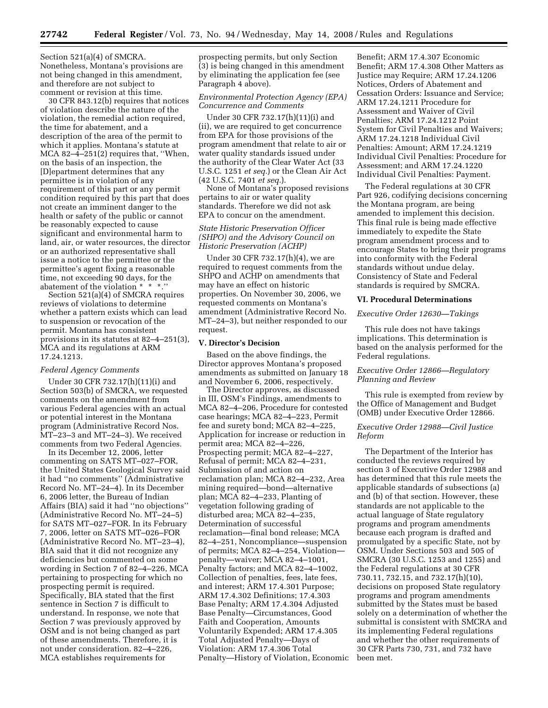Section 521(a)(4) of SMCRA. Nonetheless, Montana's provisions are not being changed in this amendment, and therefore are not subject to comment or revision at this time.

30 CFR 843.12(b) requires that notices of violation describe the nature of the violation, the remedial action required, the time for abatement, and a description of the area of the permit to which it applies. Montana's statute at MCA 82–4–251(2) requires that, ''When, on the basis of an inspection, the [D]epartment determines that any permittee is in violation of any requirement of this part or any permit condition required by this part that does not create an imminent danger to the health or safety of the public or cannot be reasonably expected to cause significant and environmental harm to land, air, or water resources, the director or an authorized representative shall issue a notice to the permittee or the permittee's agent fixing a reasonable time, not exceeding 90 days, for the abatement of the violation \* \* \*.''

Section 521(a)(4) of SMCRA requires reviews of violations to determine whether a pattern exists which can lead to suspension or revocation of the permit. Montana has consistent provisions in its statutes at 82–4–251(3), MCA and its regulations at ARM 17.24.1213.

#### *Federal Agency Comments*

Under 30 CFR 732.17(h)(11)(i) and Section 503(b) of SMCRA, we requested comments on the amendment from various Federal agencies with an actual or potential interest in the Montana program (Administrative Record Nos. MT–23–3 and MT–24–3). We received comments from two Federal Agencies.

In its December 12, 2006, letter commenting on SATS MT–027–FOR, the United States Geological Survey said it had ''no comments'' (Administrative Record No. MT–24–4). In its December 6, 2006 letter, the Bureau of Indian Affairs (BIA) said it had ''no objections'' (Administrative Record No. MT–24–5) for SATS MT–027–FOR. In its February 7, 2006, letter on SATS MT–026–FOR (Administrative Record No. MT–23–4), BIA said that it did not recognize any deficiencies but commented on some wording in Section 7 of 82–4–226, MCA pertaining to prospecting for which no prospecting permit is required. Specifically, BIA stated that the first sentence in Section 7 is difficult to understand. In response, we note that Section 7 was previously approved by OSM and is not being changed as part of these amendments. Therefore, it is not under consideration. 82–4–226, MCA establishes requirements for

prospecting permits, but only Section (3) is being changed in this amendment by eliminating the application fee (see Paragraph 4 above).

# *Environmental Protection Agency (EPA) Concurrence and Comments*

Under 30 CFR 732.17(h)(11)(i) and (ii), we are required to get concurrence from EPA for those provisions of the program amendment that relate to air or water quality standards issued under the authority of the Clear Water Act (33 U.S.C. 1251 *et seq.*) or the Clean Air Act (42 U.S.C. 7401 *et seq.*).

None of Montana's proposed revisions pertains to air or water quality standards. Therefore we did not ask EPA to concur on the amendment.

## *State Historic Preservation Officer (SHPO) and the Advisory Council on Historic Preservation (ACHP)*

Under 30 CFR 732.17(h)(4), we are required to request comments from the SHPO and ACHP on amendments that may have an effect on historic properties. On November 30, 2006, we requested comments on Montana's amendment (Administrative Record No. MT–24–3), but neither responded to our request.

#### **V. Director's Decision**

Based on the above findings, the Director approves Montana's proposed amendments as submitted on January 18 and November 6, 2006, respectively.

The Director approves, as discussed in III, OSM's Findings, amendments to MCA 82–4–206, Procedure for contested case hearings; MCA 82–4–223, Permit fee and surety bond; MCA 82–4–225, Application for increase or reduction in permit area; MCA 82–4–226, Prospecting permit; MCA 82–4–227, Refusal of permit; MCA 82–4–231, Submission of and action on reclamation plan; MCA 82–4–232, Area mining required—bond—alternative plan; MCA 82–4–233, Planting of vegetation following grading of disturbed area; MCA 82–4–235, Determination of successful reclamation—final bond release; MCA 82–4–251, Noncompliance—suspension of permits; MCA 82–4–254, Violation penalty—waiver; MCA 82–4–1001, Penalty factors; and MCA 82–4–1002, Collection of penalties, fees, late fees, and interest; ARM 17.4.301 Purpose; ARM 17.4.302 Definitions; 17.4.303 Base Penalty; ARM 17.4.304 Adjusted Base Penalty—Circumstances, Good Faith and Cooperation, Amounts Voluntarily Expended; ARM 17.4.305 Total Adjusted Penalty—Days of Violation: ARM 17.4.306 Total Penalty—History of Violation, Economic

Benefit; ARM 17.4.307 Economic Benefit; ARM 17.4.308 Other Matters as Justice may Require; ARM 17.24.1206 Notices, Orders of Abatement and Cessation Orders: Issuance and Service; ARM 17.24.1211 Procedure for Assessment and Waiver of Civil Penalties; ARM 17.24.1212 Point System for Civil Penalties and Waivers; ARM 17.24.1218 Individual Civil Penalties: Amount; ARM 17.24.1219 Individual Civil Penalties: Procedure for Assessment; and ARM 17.24.1220 Individual Civil Penalties: Payment.

The Federal regulations at 30 CFR Part 926, codifying decisions concerning the Montana program, are being amended to implement this decision. This final rule is being made effective immediately to expedite the State program amendment process and to encourage States to bring their programs into conformity with the Federal standards without undue delay. Consistency of State and Federal standards is required by SMCRA.

### **VI. Procedural Determinations**

#### *Executive Order 12630—Takings*

This rule does not have takings implications. This determination is based on the analysis performed for the Federal regulations.

## *Executive Order 12866—Regulatory Planning and Review*

This rule is exempted from review by the Office of Management and Budget (OMB) under Executive Order 12866.

# *Executive Order 12988—Civil Justice Reform*

The Department of the Interior has conducted the reviews required by section 3 of Executive Order 12988 and has determined that this rule meets the applicable standards of subsections (a) and (b) of that section. However, these standards are not applicable to the actual language of State regulatory programs and program amendments because each program is drafted and promulgated by a specific State, not by OSM. Under Sections 503 and 505 of SMCRA (30 U.S.C. 1253 and 1255) and the Federal regulations at 30 CFR 730.11, 732.15, and 732.17(h)(10), decisions on proposed State regulatory programs and program amendments submitted by the States must be based solely on a determination of whether the submittal is consistent with SMCRA and its implementing Federal regulations and whether the other requirements of 30 CFR Parts 730, 731, and 732 have been met.